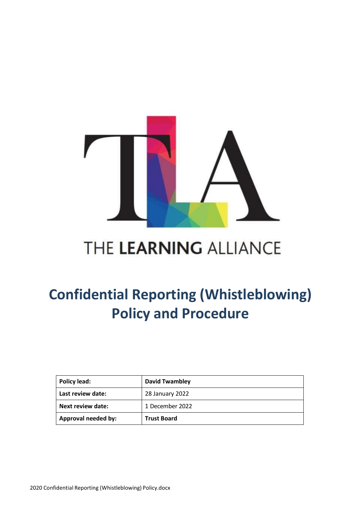

# THE LEARNING ALLIANCE

# **Confidential Reporting (Whistleblowing) Policy and Procedure**

| Policy lead:             | <b>David Twambley</b> |
|--------------------------|-----------------------|
| Last review date:        | 28 January 2022       |
| <b>Next review date:</b> | 1 December 2022       |
| Approval needed by:      | <b>Trust Board</b>    |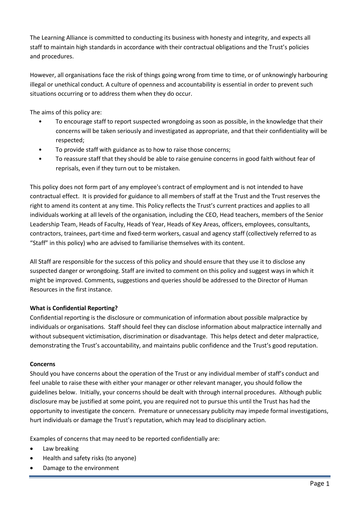The Learning Alliance is committed to conducting its business with honesty and integrity, and expects all staff to maintain high standards in accordance with their contractual obligations and the Trust's policies and procedures.

However, all organisations face the risk of things going wrong from time to time, or of unknowingly harbouring illegal or unethical conduct. A culture of openness and accountability is essential in order to prevent such situations occurring or to address them when they do occur.

The aims of this policy are:

- To encourage staff to report suspected wrongdoing as soon as possible, in the knowledge that their concerns will be taken seriously and investigated as appropriate, and that their confidentiality will be respected;
- To provide staff with guidance as to how to raise those concerns;
- To reassure staff that they should be able to raise genuine concerns in good faith without fear of reprisals, even if they turn out to be mistaken.

This policy does not form part of any employee's contract of employment and is not intended to have contractual effect. It is provided for guidance to all members of staff at the Trust and the Trust reserves the right to amend its content at any time. This Policy reflects the Trust's current practices and applies to all individuals working at all levels of the organisation, including the CEO, Head teachers, members of the Senior Leadership Team, Heads of Faculty, Heads of Year, Heads of Key Areas, officers, employees, consultants, contractors, trainees, part-time and fixed-term workers, casual and agency staff (collectively referred to as "Staff" in this policy) who are advised to familiarise themselves with its content.

All Staff are responsible for the success of this policy and should ensure that they use it to disclose any suspected danger or wrongdoing. Staff are invited to comment on this policy and suggest ways in which it might be improved. Comments, suggestions and queries should be addressed to the Director of Human Resources in the first instance.

# **What is Confidential Reporting?**

Confidential reporting is the disclosure or communication of information about possible malpractice by individuals or organisations. Staff should feel they can disclose information about malpractice internally and without subsequent victimisation, discrimination or disadvantage. This helps detect and deter malpractice, demonstrating the Trust's accountability, and maintains public confidence and the Trust's good reputation.

# **Concerns**

Should you have concerns about the operation of the Trust or any individual member of staff's conduct and feel unable to raise these with either your manager or other relevant manager, you should follow the guidelines below. Initially, your concerns should be dealt with through internal procedures. Although public disclosure may be justified at some point, you are required not to pursue this until the Trust has had the opportunity to investigate the concern. Premature or unnecessary publicity may impede formal investigations, hurt individuals or damage the Trust's reputation, which may lead to disciplinary action.

Examples of concerns that may need to be reported confidentially are:

- Law breaking
- Health and safety risks (to anyone)
- Damage to the environment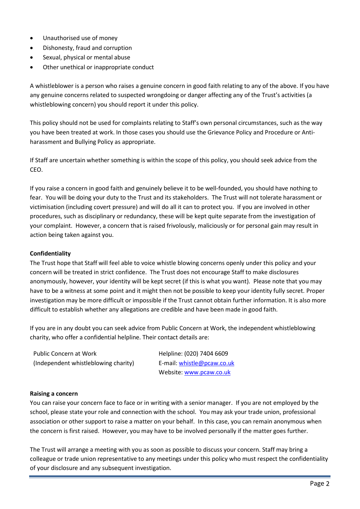- Unauthorised use of money
- Dishonesty, fraud and corruption
- Sexual, physical or mental abuse
- Other unethical or inappropriate conduct

A whistleblower is a person who raises a genuine concern in good faith relating to any of the above. If you have any genuine concerns related to suspected wrongdoing or danger affecting any of the Trust's activities (a whistleblowing concern) you should report it under this policy.

This policy should not be used for complaints relating to Staff's own personal circumstances, such as the way you have been treated at work. In those cases you should use the Grievance Policy and Procedure or Antiharassment and Bullying Policy as appropriate.

If Staff are uncertain whether something is within the scope of this policy, you should seek advice from the CEO.

If you raise a concern in good faith and genuinely believe it to be well-founded, you should have nothing to fear. You will be doing your duty to the Trust and its stakeholders. The Trust will not tolerate harassment or victimisation (including covert pressure) and will do all it can to protect you. If you are involved in other procedures, such as disciplinary or redundancy, these will be kept quite separate from the investigation of your complaint. However, a concern that is raised frivolously, maliciously or for personal gain may result in action being taken against you.

# **Confidentiality**

The Trust hope that Staff will feel able to voice whistle blowing concerns openly under this policy and your concern will be treated in strict confidence. The Trust does not encourage Staff to make disclosures anonymously, however, your identity will be kept secret (if this is what you want). Please note that you may have to be a witness at some point and it might then not be possible to keep your identity fully secret. Proper investigation may be more difficult or impossible if the Trust cannot obtain further information. It is also more difficult to establish whether any allegations are credible and have been made in good faith.

If you are in any doubt you can seek advice from Public Concern at Work, the independent whistleblowing charity, who offer a confidential helpline. Their contact details are:

| Public Concern at Work               | Helpline: (020) 7404 6609  |
|--------------------------------------|----------------------------|
| (Independent whistleblowing charity) | E-mail: whistle@pcaw.co.uk |
|                                      | Website: www.pcaw.co.uk    |

#### **Raising a concern**

You can raise your concern face to face or in writing with a senior manager. If you are not employed by the school, please state your role and connection with the school. You may ask your trade union, professional association or other support to raise a matter on your behalf. In this case, you can remain anonymous when the concern is first raised. However, you may have to be involved personally if the matter goes further.

The Trust will arrange a meeting with you as soon as possible to discuss your concern. Staff may bring a colleague or trade union representative to any meetings under this policy who must respect the confidentiality of your disclosure and any subsequent investigation.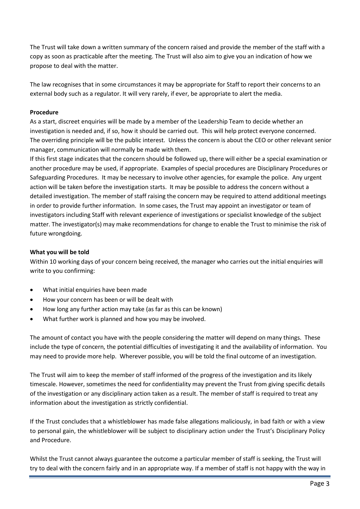The Trust will take down a written summary of the concern raised and provide the member of the staff with a copy as soon as practicable after the meeting. The Trust will also aim to give you an indication of how we propose to deal with the matter.

The law recognises that in some circumstances it may be appropriate for Staff to report their concerns to an external body such as a regulator. It will very rarely, if ever, be appropriate to alert the media.

# **Procedure**

As a start, discreet enquiries will be made by a member of the Leadership Team to decide whether an investigation is needed and, if so, how it should be carried out. This will help protect everyone concerned. The overriding principle will be the public interest. Unless the concern is about the CEO or other relevant senior manager, communication will normally be made with them.

If this first stage indicates that the concern should be followed up, there will either be a special examination or another procedure may be used, if appropriate. Examples of special procedures are Disciplinary Procedures or Safeguarding Procedures. It may be necessary to involve other agencies, for example the police. Any urgent action will be taken before the investigation starts. It may be possible to address the concern without a detailed investigation. The member of staff raising the concern may be required to attend additional meetings in order to provide further information. In some cases, the Trust may appoint an investigator or team of investigators including Staff with relevant experience of investigations or specialist knowledge of the subject matter. The investigator(s) may make recommendations for change to enable the Trust to minimise the risk of future wrongdoing.

# **What you will be told**

Within 10 working days of your concern being received, the manager who carries out the initial enquiries will write to you confirming:

- What initial enquiries have been made
- How your concern has been or will be dealt with
- How long any further action may take (as far as this can be known)
- What further work is planned and how you may be involved.

The amount of contact you have with the people considering the matter will depend on many things. These include the type of concern, the potential difficulties of investigating it and the availability of information. You may need to provide more help. Wherever possible, you will be told the final outcome of an investigation.

The Trust will aim to keep the member of staff informed of the progress of the investigation and its likely timescale. However, sometimes the need for confidentiality may prevent the Trust from giving specific details of the investigation or any disciplinary action taken as a result. The member of staff is required to treat any information about the investigation as strictly confidential.

If the Trust concludes that a whistleblower has made false allegations maliciously, in bad faith or with a view to personal gain, the whistleblower will be subject to disciplinary action under the Trust's Disciplinary Policy and Procedure.

Whilst the Trust cannot always guarantee the outcome a particular member of staff is seeking, the Trust will try to deal with the concern fairly and in an appropriate way. If a member of staff is not happy with the way in